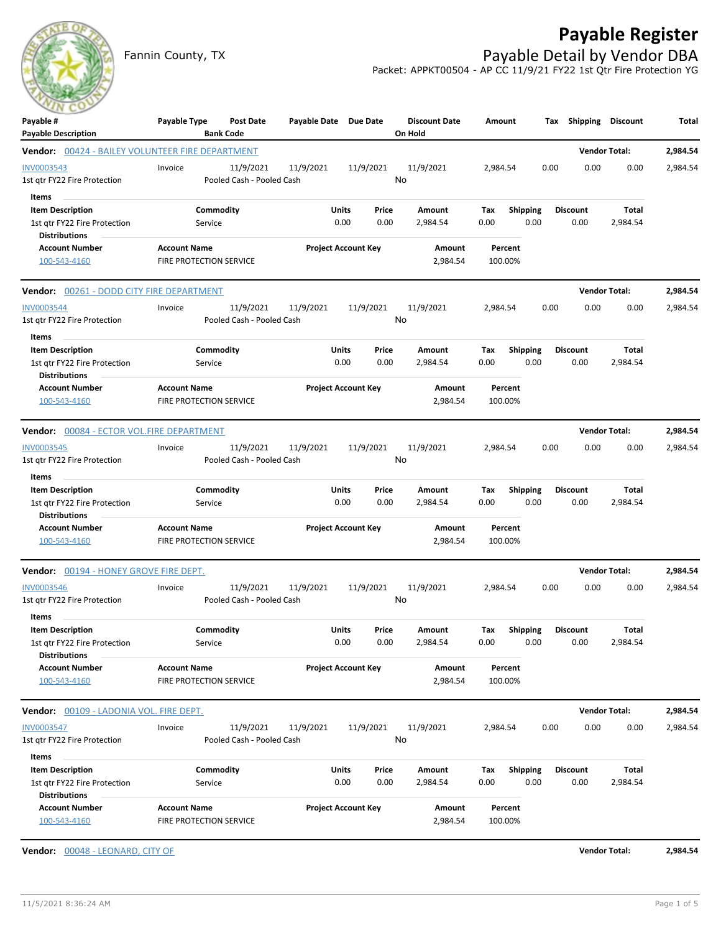

## **Payable Register**

Fannin County, TX **Payable Detail by Vendor DBA** Packet: APPKT00504 - AP CC 11/9/21 FY22 1st Qtr Fire Protection YG

| Payable #<br><b>Payable Description</b>                                                  | Payable Type<br><b>Bank Code</b>               | <b>Post Date</b>                       | Payable Date Due Date |                                | <b>Discount Date</b><br>On Hold | Amount                         | Tax                       | Shipping                | <b>Discount</b>          | Total    |
|------------------------------------------------------------------------------------------|------------------------------------------------|----------------------------------------|-----------------------|--------------------------------|---------------------------------|--------------------------------|---------------------------|-------------------------|--------------------------|----------|
| <b>Vendor:</b> 00424 - BAILEY VOLUNTEER FIRE DEPARTMENT                                  |                                                |                                        |                       |                                |                                 |                                |                           |                         | <b>Vendor Total:</b>     | 2,984.54 |
| INV0003543<br>1st qtr FY22 Fire Protection                                               | Invoice                                        | 11/9/2021<br>Pooled Cash - Pooled Cash | 11/9/2021             | 11/9/2021                      | 11/9/2021<br>No                 | 2,984.54                       | 0.00                      | 0.00                    | 0.00                     | 2,984.54 |
| Items<br><b>Item Description</b><br>1st qtr FY22 Fire Protection<br><b>Distributions</b> | Commodity<br>Service                           |                                        |                       | Units<br>Price<br>0.00<br>0.00 | Amount<br>2,984.54              | Tax<br><b>Shipping</b><br>0.00 | 0.00                      | <b>Discount</b><br>0.00 | Total<br>2,984.54        |          |
| <b>Account Number</b><br>100-543-4160                                                    | <b>Account Name</b><br>FIRE PROTECTION SERVICE |                                        |                       | <b>Project Account Key</b>     | Amount<br>2,984.54              | Percent<br>100.00%             |                           |                         |                          |          |
| <b>Vendor:</b> 00261 - DODD CITY FIRE DEPARTMENT                                         |                                                |                                        |                       |                                |                                 |                                |                           |                         | <b>Vendor Total:</b>     | 2,984.54 |
| <b>INV0003544</b><br>1st qtr FY22 Fire Protection<br>Items                               | Invoice                                        | 11/9/2021<br>Pooled Cash - Pooled Cash | 11/9/2021             | 11/9/2021                      | 11/9/2021<br>No                 | 2,984.54                       | 0.00                      | 0.00                    | 0.00                     | 2,984.54 |
| <b>Item Description</b><br>1st gtr FY22 Fire Protection<br><b>Distributions</b>          | Commodity<br>Service                           |                                        |                       | Units<br>Price<br>0.00<br>0.00 | Amount<br>2,984.54              | <b>Shipping</b><br>Tax<br>0.00 | 0.00                      | <b>Discount</b><br>0.00 | <b>Total</b><br>2,984.54 |          |
| <b>Account Number</b><br>100-543-4160                                                    | <b>Account Name</b><br>FIRE PROTECTION SERVICE |                                        |                       | <b>Project Account Key</b>     | Amount<br>2,984.54              | Percent<br>100.00%             |                           |                         |                          |          |
| <b>Vendor:</b> 00084 - ECTOR VOL.FIRE DEPARTMENT                                         |                                                |                                        |                       |                                |                                 |                                |                           |                         | <b>Vendor Total:</b>     | 2,984.54 |
| <b>INV0003545</b><br>1st qtr FY22 Fire Protection                                        | Invoice                                        | 11/9/2021<br>Pooled Cash - Pooled Cash | 11/9/2021             | 11/9/2021                      | 11/9/2021<br>No                 | 2,984.54                       | 0.00                      | 0.00                    | 0.00                     | 2,984.54 |
| Items<br><b>Item Description</b><br>1st gtr FY22 Fire Protection<br><b>Distributions</b> | Commodity<br>Service                           |                                        |                       | Units<br>Price<br>0.00<br>0.00 | Amount<br>2,984.54              | <b>Shipping</b><br>Tax<br>0.00 | 0.00                      | <b>Discount</b><br>0.00 | <b>Total</b><br>2,984.54 |          |
| <b>Account Number</b><br>100-543-4160                                                    | <b>Account Name</b><br>FIRE PROTECTION SERVICE |                                        |                       | <b>Project Account Key</b>     | Amount<br>2,984.54              | Percent<br>100.00%             |                           |                         |                          |          |
| <b>Vendor:</b> 00194 - HONEY GROVE FIRE DEPT.                                            |                                                |                                        |                       |                                |                                 |                                |                           |                         | <b>Vendor Total:</b>     | 2,984.54 |
| <b>INV0003546</b><br>1st qtr FY22 Fire Protection                                        | Invoice                                        | 11/9/2021<br>Pooled Cash - Pooled Cash | 11/9/2021             | 11/9/2021                      | 11/9/2021<br>No                 | 2,984.54                       | 0.00                      | 0.00                    | 0.00                     | 2,984.54 |
| Items<br><b>Item Description</b><br>1st qtr FY22 Fire Protection<br><b>Distributions</b> | Commodity<br>Service                           |                                        |                       | Units<br>Price<br>0.00<br>0.00 | Amount<br>2,984.54              | Tax<br>0.00                    | Shipping Discount<br>0.00 | 0.00                    | <b>Total</b><br>2,984.54 |          |
| <b>Account Number</b><br>100-543-4160                                                    | <b>Account Name</b><br>FIRE PROTECTION SERVICE |                                        |                       | <b>Project Account Key</b>     | Amount<br>2,984.54              | Percent<br>100.00%             |                           |                         |                          |          |
| <b>Vendor:</b> 00109 - LADONIA VOL. FIRE DEPT.                                           |                                                |                                        |                       |                                |                                 |                                |                           |                         | <b>Vendor Total:</b>     | 2,984.54 |
| INV0003547<br>1st qtr FY22 Fire Protection                                               | Invoice                                        | 11/9/2021<br>Pooled Cash - Pooled Cash | 11/9/2021             | 11/9/2021                      | 11/9/2021<br>No                 | 2,984.54                       | 0.00                      | 0.00                    | 0.00                     | 2,984.54 |
| Items<br><b>Item Description</b><br>1st qtr FY22 Fire Protection<br><b>Distributions</b> | Commodity<br>Service                           |                                        |                       | Units<br>Price<br>0.00<br>0.00 | Amount<br>2,984.54              | Shipping<br>Тах<br>0.00        | 0.00                      | <b>Discount</b><br>0.00 | Total<br>2,984.54        |          |
| <b>Account Number</b><br>100-543-4160                                                    | <b>Account Name</b><br>FIRE PROTECTION SERVICE |                                        |                       | <b>Project Account Key</b>     | Amount<br>2,984.54              | Percent<br>100.00%             |                           |                         |                          |          |

**Vendor:** 00048 - LEONARD, CITY OF **Vendor Total: 2,984.54**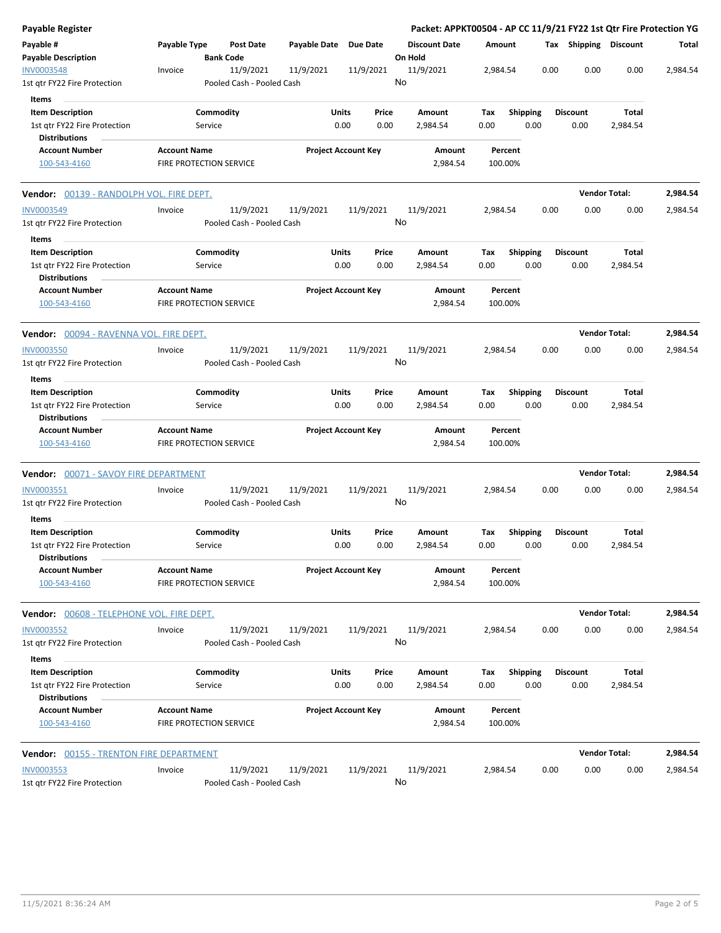| Payable Register                                        |                     |                                        |                       |                            |               | Packet: APPKT00504 - AP CC 11/9/21 FY22 1st Qtr Fire Protection YG |                    |                         |      |                         |                      |          |
|---------------------------------------------------------|---------------------|----------------------------------------|-----------------------|----------------------------|---------------|--------------------------------------------------------------------|--------------------|-------------------------|------|-------------------------|----------------------|----------|
| Payable #<br><b>Payable Description</b>                 | Payable Type        | <b>Post Date</b><br><b>Bank Code</b>   | Payable Date Due Date |                            |               | <b>Discount Date</b><br>On Hold                                    | Amount             |                         |      | Tax Shipping Discount   |                      | Total    |
| INV0003548                                              | Invoice             | 11/9/2021                              | 11/9/2021             | 11/9/2021                  |               | 11/9/2021                                                          | 2,984.54           |                         | 0.00 | 0.00                    | 0.00                 | 2,984.54 |
| 1st qtr FY22 Fire Protection                            |                     | Pooled Cash - Pooled Cash              |                       |                            |               | No                                                                 |                    |                         |      |                         |                      |          |
| Items                                                   |                     |                                        |                       |                            |               |                                                                    |                    |                         |      |                         |                      |          |
| <b>Item Description</b>                                 |                     | Commodity                              |                       | Units                      | Price         | Amount                                                             | Tax                | Shipping                |      | <b>Discount</b>         | Total                |          |
| 1st qtr FY22 Fire Protection                            |                     | Service                                |                       | 0.00                       | 0.00          | 2,984.54                                                           | 0.00               | 0.00                    |      | 0.00                    | 2,984.54             |          |
| <b>Distributions</b><br><b>Account Number</b>           | <b>Account Name</b> |                                        |                       | <b>Project Account Key</b> |               | Amount                                                             | Percent            |                         |      |                         |                      |          |
| 100-543-4160                                            |                     | FIRE PROTECTION SERVICE                |                       |                            |               | 2,984.54                                                           | 100.00%            |                         |      |                         |                      |          |
| <b>Vendor:</b> 00139 - RANDOLPH VOL. FIRE DEPT.         |                     |                                        |                       |                            |               |                                                                    |                    |                         |      |                         | <b>Vendor Total:</b> | 2,984.54 |
| INV0003549                                              | Invoice             | 11/9/2021                              | 11/9/2021             | 11/9/2021                  |               | 11/9/2021                                                          | 2,984.54           |                         | 0.00 | 0.00                    | 0.00                 | 2,984.54 |
| 1st gtr FY22 Fire Protection                            |                     | Pooled Cash - Pooled Cash              |                       |                            |               | No                                                                 |                    |                         |      |                         |                      |          |
| Items                                                   |                     |                                        |                       |                            |               |                                                                    |                    |                         |      |                         |                      |          |
| <b>Item Description</b>                                 |                     | Commodity                              |                       | Units                      | Price         | Amount                                                             | Tax                | <b>Shipping</b>         |      | <b>Discount</b>         | Total                |          |
| 1st qtr FY22 Fire Protection                            |                     | Service                                |                       | 0.00                       | 0.00          | 2,984.54                                                           | 0.00               | 0.00                    |      | 0.00                    | 2,984.54             |          |
| <b>Distributions</b>                                    |                     |                                        |                       |                            |               |                                                                    |                    |                         |      |                         |                      |          |
| <b>Account Number</b><br>100-543-4160                   | <b>Account Name</b> | <b>FIRE PROTECTION SERVICE</b>         |                       | <b>Project Account Key</b> |               | Amount<br>2,984.54                                                 | Percent<br>100.00% |                         |      |                         |                      |          |
| <b>Vendor:</b> 00094 - RAVENNA VOL. FIRE DEPT.          |                     |                                        |                       |                            |               |                                                                    |                    |                         |      |                         | <b>Vendor Total:</b> | 2,984.54 |
| <b>INV0003550</b>                                       | Invoice             | 11/9/2021                              | 11/9/2021             | 11/9/2021                  |               | 11/9/2021                                                          | 2,984.54           |                         | 0.00 | 0.00                    | 0.00                 | 2,984.54 |
| 1st gtr FY22 Fire Protection                            |                     | Pooled Cash - Pooled Cash              |                       |                            |               | No                                                                 |                    |                         |      |                         |                      |          |
| Items                                                   |                     |                                        |                       |                            |               |                                                                    |                    |                         |      |                         |                      |          |
| <b>Item Description</b><br>1st qtr FY22 Fire Protection |                     | Commodity<br>Service                   |                       | Units<br>0.00              | Price<br>0.00 | Amount<br>2,984.54                                                 | Tax<br>0.00        | <b>Shipping</b><br>0.00 |      | <b>Discount</b><br>0.00 | Total<br>2,984.54    |          |
| <b>Distributions</b><br><b>Account Number</b>           | <b>Account Name</b> |                                        |                       | <b>Project Account Key</b> |               | Amount                                                             | Percent            |                         |      |                         |                      |          |
| 100-543-4160                                            |                     | FIRE PROTECTION SERVICE                |                       |                            |               | 2,984.54                                                           | 100.00%            |                         |      |                         |                      |          |
| Vendor: 00071 - SAVOY FIRE DEPARTMENT                   |                     |                                        |                       |                            |               |                                                                    |                    |                         |      |                         | <b>Vendor Total:</b> | 2,984.54 |
| INV0003551                                              | Invoice             | 11/9/2021                              | 11/9/2021             | 11/9/2021                  |               | 11/9/2021                                                          | 2,984.54           |                         | 0.00 | 0.00                    | 0.00                 | 2,984.54 |
| 1st gtr FY22 Fire Protection                            |                     | Pooled Cash - Pooled Cash              |                       |                            |               | No                                                                 |                    |                         |      |                         |                      |          |
| Items                                                   |                     |                                        |                       |                            |               |                                                                    |                    |                         |      |                         |                      |          |
| <b>Item Description</b>                                 |                     | Commodity                              |                       | Units                      | Price         | Amount                                                             | Tax                | <b>Shipping</b>         |      | <b>Discount</b>         | Total                |          |
| 1st qtr FY22 Fire Protection<br><b>Distributions</b>    |                     | Service                                |                       | 0.00                       | 0.00          | 2,984.54                                                           | 0.00               | 0.00                    |      | 0.00                    | 2,984.54             |          |
| <b>Account Number</b><br>100-543-4160                   | <b>Account Name</b> | FIRE PROTECTION SERVICE                |                       | <b>Project Account Key</b> |               | Amount<br>2,984.54                                                 | Percent<br>100.00% |                         |      |                         |                      |          |
| Vendor: 00608 - TELEPHONE VOL. FIRE DEPT.               |                     |                                        |                       |                            |               |                                                                    |                    |                         |      |                         | <b>Vendor Total:</b> | 2,984.54 |
| <b>INV0003552</b>                                       | Invoice             | 11/9/2021                              | 11/9/2021             | 11/9/2021                  |               | 11/9/2021                                                          | 2,984.54           |                         | 0.00 | 0.00                    | 0.00                 | 2,984.54 |
| 1st qtr FY22 Fire Protection<br>Items                   |                     | Pooled Cash - Pooled Cash              |                       |                            |               | No                                                                 |                    |                         |      |                         |                      |          |
| <b>Item Description</b>                                 |                     | Commodity                              |                       | Units                      | Price         | Amount                                                             | Tax                | <b>Shipping</b>         |      | <b>Discount</b>         | <b>Total</b>         |          |
| 1st gtr FY22 Fire Protection<br><b>Distributions</b>    |                     | Service                                |                       | 0.00                       | 0.00          | 2,984.54                                                           | 0.00               | 0.00                    |      | 0.00                    | 2,984.54             |          |
| <b>Account Number</b><br>100-543-4160                   | <b>Account Name</b> | FIRE PROTECTION SERVICE                |                       | <b>Project Account Key</b> |               | Amount<br>2,984.54                                                 | Percent<br>100.00% |                         |      |                         |                      |          |
| <b>Vendor:</b> 00155 - TRENTON FIRE DEPARTMENT          |                     |                                        |                       |                            |               |                                                                    |                    |                         |      |                         | <b>Vendor Total:</b> | 2,984.54 |
| INV0003553<br>1st qtr FY22 Fire Protection              | Invoice             | 11/9/2021<br>Pooled Cash - Pooled Cash | 11/9/2021             | 11/9/2021                  |               | 11/9/2021<br>No                                                    | 2,984.54           |                         | 0.00 | 0.00                    | 0.00                 | 2,984.54 |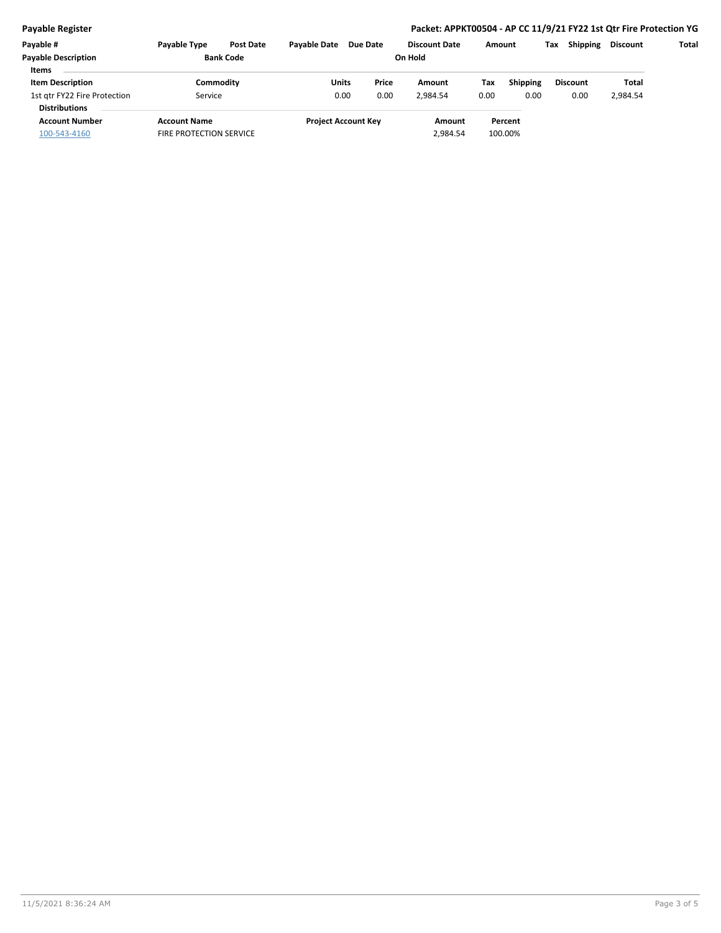## **Payable Register Packet: APPKT00504 - AP CC 11/9/21 FY22 1st Qtr Fire Protection YG**

| Payable #                    | Payable Type                   | <b>Post Date</b> | <b>Pavable Date</b> | Due Date                   |  | <b>Discount Date</b> | Amount |                 | Tax | <b>Shipping</b> | <b>Discount</b> | Total |
|------------------------------|--------------------------------|------------------|---------------------|----------------------------|--|----------------------|--------|-----------------|-----|-----------------|-----------------|-------|
| <b>Payable Description</b>   | <b>Bank Code</b>               |                  | On Hold             |                            |  |                      |        |                 |     |                 |                 |       |
| <b>Items</b>                 |                                |                  |                     |                            |  |                      |        |                 |     |                 |                 |       |
| <b>Item Description</b>      | Commodity                      |                  | Units               | Price                      |  | Amount               | Tax    | <b>Shipping</b> |     | <b>Discount</b> | Total           |       |
| 1st gtr FY22 Fire Protection | Service                        |                  | 0.00                | 0.00                       |  | 2.984.54             | 0.00   | 0.00            |     | 0.00            | 2,984.54        |       |
| <b>Distributions</b>         |                                |                  |                     |                            |  |                      |        |                 |     |                 |                 |       |
| <b>Account Number</b>        | <b>Account Name</b>            |                  |                     | <b>Project Account Key</b> |  | Amount               |        | Percent         |     |                 |                 |       |
| 100-543-4160                 | <b>FIRE PROTECTION SERVICE</b> |                  |                     |                            |  | 2.984.54             |        | 100.00%         |     |                 |                 |       |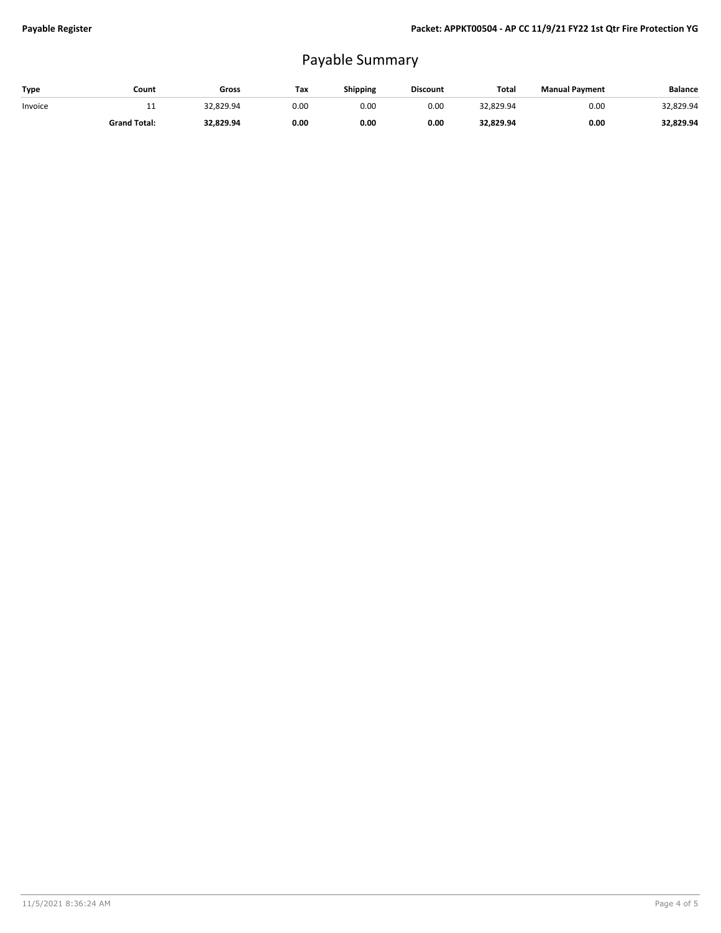## Payable Summary

| Type    | Count               | Gross     | Tax  | Shipping | <b>Discount</b> | Total     | <b>Manual Payment</b> | <b>Balance</b> |
|---------|---------------------|-----------|------|----------|-----------------|-----------|-----------------------|----------------|
| Invoice | <b>. .</b>          | 32.829.94 | 0.00 | 0.00     | 0.00            | 32.829.94 | 0.00                  | 32,829.94      |
|         | <b>Grand Total:</b> | 32,829.94 | 0.00 | 0.00     | 0.00            | 32,829.94 | 0.00                  | 32,829.94      |